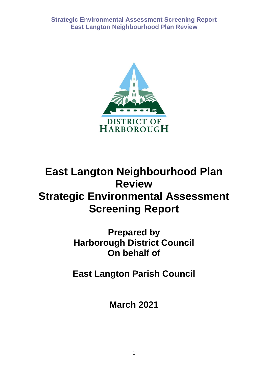

# **East Langton Neighbourhood Plan Review Strategic Environmental Assessment Screening Report**

**Prepared by Harborough District Council On behalf of** 

**East Langton Parish Council**

**March 2021**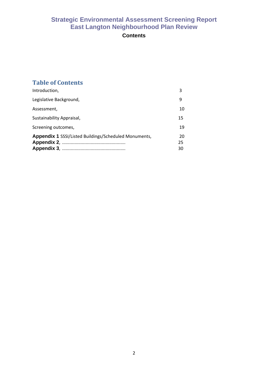## **Contents**

## **Table of Contents**

| Introduction,                                                | 3              |
|--------------------------------------------------------------|----------------|
| Legislative Background,                                      | 9              |
| Assessment,                                                  | 10             |
| Sustainability Appraisal,                                    | 15             |
| Screening outcomes,                                          | 19             |
| <b>Appendix 1 SSSI/Listed Buildings/Scheduled Monuments,</b> | 20<br>25<br>30 |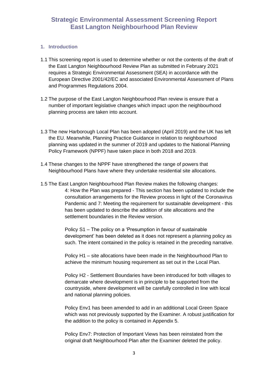#### **1. Introduction**

- 1.1 This screening report is used to determine whether or not the contents of the draft of the East Langton Neighbourhood Review Plan as submitted in February 2021 requires a Strategic Environmental Assessment (SEA) in accordance with the European Directive 2001/42/EC and associated Environmental Assessment of Plans and Programmes Regulations 2004.
- 1.2 The purpose of the East Langton Neighbourhood Plan review is ensure that a number of important legislative changes which impact upon the neighbourhood planning process are taken into account.
- 1.3 The new Harborough Local Plan has been adopted (April 2019) and the UK has left the EU. Meanwhile, Planning Practice Guidance in relation to neighbourhood planning was updated in the summer of 2019 and updates to the National Planning Policy Framework (NPPF) have taken place in both 2018 and 2019.
- 1.4 These changes to the NPPF have strengthened the range of powers that Neighbourhood Plans have where they undertake residential site allocations.
- 1.5 The East Langton Neighbourhood Plan Review makes the following changes: 4: How the Plan was prepared - This section has been updated to include the consultation arrangements for the Review process in light of the Coronavirus Pandemic and 7: Meeting the requirement for sustainable development - this has been updated to describe the addition of site allocations and the settlement boundaries in the Review version.

Policy S1 – The policy on a 'Presumption in favour of sustainable development' has been deleted as it does not represent a planning policy as such. The intent contained in the policy is retained in the preceding narrative.

Policy H1 – site allocations have been made in the Neighbourhood Plan to achieve the minimum housing requirement as set out in the Local Plan.

Policy H2 - Settlement Boundaries have been introduced for both villages to demarcate where development is in principle to be supported from the countryside, where development will be carefully controlled in line with local and national planning policies.

Policy Env1 has been amended to add in an additional Local Green Space which was not previously supported by the Examiner. A robust justification for the addition to the policy is contained in Appendix 5.

Policy Env7: Protection of Important Views has been reinstated from the original draft Neighbourhood Plan after the Examiner deleted the policy.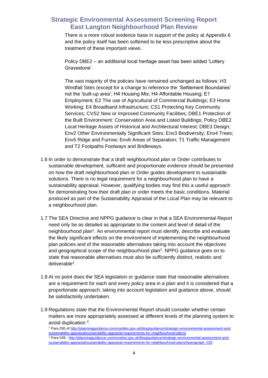There is a more robust evidence base in support of the policy at Appendix 6 and the policy itself has been softened to be less prescriptive about the treatment of these important views.

Policy DBE2 – an additional local heritage asset has been added 'Lottery Gravestone'.

The vast majority of the policies have remained unchanged as follows: H3 Windfall Sites (except for a change to reference the 'Settlement Boundaries' not the 'built-up area'; H4 Housing Mix; H4 Affordable Housing; E1 Employment; E2 The use of Agricultural of Commercial Buildings; E3 Home Working; E4 Broadband Infrastructure; CS1 Protecting Key Community Services; CVS2 New or Improved Community Facilities; DBE1 Protection of the Built Environment: Conservation Area and Listed Buildings; Policy DBE2 Local Heritage Assets of Historical and Architectural Interest; DBE3 Design; Env2 Other Environmentally Significant Sites; Env3 Biodiversity; Env4 Trees; Env5 Ridge and Furrow; Env6 Areas of Separation; T1 Traffic Management and T2 Footpaths Footways and Bridleways.

- 1.6 In order to demonstrate that a draft neighbourhood plan or Order contributes to sustainable development, sufficient and proportionate evidence should be presented on how the draft neighbourhood plan or Order guides development to sustainable solutions. There is no legal requirement for a neighbourhood plan to have a sustainability appraisal. However, qualifying bodies may find this a useful approach for demonstrating how their draft plan or order meets the basic conditions. Material produced as part of the Sustainability Appraisal of the Local Plan may be relevant to a neighbourhood plan.
- 1.7 The SEA Directive and NPPG guidance is clear in that a SEA Environmental Report need only be as detailed as appropriate to the content and level of detail of the neighbourhood plan<sup>1</sup>. An environmental report must identify, describe and evaluate the likely significant effects on the environment of implementing the neighbourhood plan policies and of the reasonable alternatives taking into account the objectives and geographical scope of the neighbourhood plan<sup>2</sup>. NPPG guidance goes on to state that reasonable alternatives must also be sufficiently distinct, realistic and deliverable<sup>3</sup>.
- 1.8 At no point does the SEA legislation or guidance state that reasonable alternatives are a requirement for each and every policy area in a plan and it is considered that a proportionate approach, taking into account legislation and guidance above, should be satisfactorily undertaken.
- 1.9 Regulations state that the Environmental Report should consider whether certain matters are more appropriately assessed at different levels of the planning system to avoid duplication 4.

<sup>1</sup> Para 030 of http://planningguidance.communities.gov.uk/blog/guidance/strategic-environmental-assessment-andsustainability-appraisal/sustainability-appraisal-requirements-for-neighbourhood-plans/ <sup>2</sup> Para 039 - http://planningguidance.communities.gov.uk/blog/guidance/strategic-environmental-assessment-andsustainability-appraisal/sustainability-appraisal-requirements-for-neighbourhood-plans/#paragraph\_033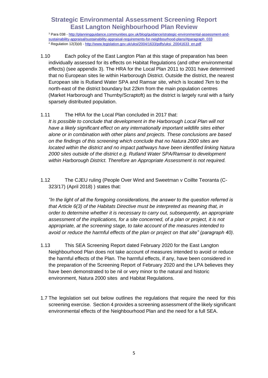<sup>3</sup> Para 038 - http://planningguidance.communities.gov.uk/blog/guidance/strategic-environmental-assessment-andsustainability-appraisal/sustainability-appraisal-requirements-for-neighbourhood-plans/#paragraph\_033 4 Regulation 12(3)(d) - http://www.legislation.gov.uk/uksi/2004/1633/pdfs/uksi\_20041633\_en.pdf

1.10 Each policy of the East Langton Plan at this stage of preparation has been individually assessed for its effects on Habitat Regulations (and other environmental effects) (see appendix 3). The HRA for the Local Plan 2011 to 2031 have determined that no European sites lie within Harborough District. Outside the district, the nearest European site is Rutland Water SPA and Ramsar site, which is located 7km to the north-east of the district boundary but 22km from the main population centres (Market Harborough and Thurnby/Scraptoft) as the district is largely rural with a fairly sparsely distributed population.

#### 1.11 The HRA for the Local Plan concluded in 2017 that:

*It is possible to conclude that development in the Harborough Local Plan will not have a likely significant effect on any internationally important wildlife sites either alone or in combination with other plans and projects. These conclusions are based on the findings of this screening which conclude that no Natura 2000 sites are located within the district and no impact pathways have been identified linking Natura 2000 sites outside of the district e.g. Rutland Water SPA/Ramsar to development within Harborough District. Therefore an Appropriate Assessment is not required.*

1.12 The CJEU ruling (People Over Wind and Sweetman v Coillte Teoranta (C-323/17) (April 2018) ) states that:

*"In the light of all the foregoing considerations, the answer to the question referred is that Article 6(3) of the Habitats Directive must be interpreted as meaning that, in order to determine whether it is necessary to carry out, subsequently, an appropriate assessment of the implications, for a site concerned, of a plan or project, it is not appropriate, at the screening stage, to take account of the measures intended to avoid or reduce the harmful effects of the plan or project on that site" (paragraph 40).*

- 1.13 This SEA Screening Report dated February 2020 for the East Langton Neighbourhood Plan does not take account of measures intended to avoid or reduce the harmful effects of the Plan. The harmful effects, if any, have been considered in the preparation of the Screening Report of February 2020 and the LPA believes they have been demonstrated to be nil or very minor to the natural and historic environment, Natura 2000 sites and Habitat Regulations.
- 1.7 The legislation set out below outlines the regulations that require the need for this screening exercise. Section 4 provides a screening assessment of the likely significant environmental effects of the Neighbourhood Plan and the need for a full SEA.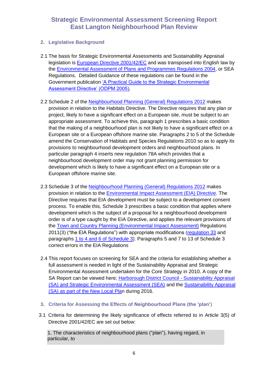#### **2. Legislative Background**

- 2.1 The basis for Strategic Environmental Assessments and Sustainability Appraisal legislation is European Directive 2001/42/EC and was transposed into English law by the Environmental Assessment of Plans and Programmes Regulations 2004, or SEA Regulations. Detailed Guidance of these regulations can be found in the Government publication 'A Practical Guide to the Strategic Environmental Assessment Directive' (ODPM 2005).
- 2.2 Schedule 2 of the Neighbourhood Planning (General) Regulations 2012 makes provision in relation to the Habitats Directive. The Directive requires that any plan or project, likely to have a significant effect on a European site, must be subject to an appropriate assessment. To achieve this, paragraph 1 prescribes a basic condition that the making of a neighbourhood plan is not likely to have a significant effect on a European site or a European offshore marine site. Paragraphs 2 to 5 of the Schedule amend the Conservation of Habitats and Species Regulations 2010 so as to apply its provisions to neighbourhood development orders and neighbourhood plans. In particular paragraph 4 inserts new regulation 78A which provides that a neighbourhood development order may not grant planning permission for development which is likely to have a significant effect on a European site or a European offshore marine site.
- 2.3 Schedule 3 of the Neighbourhood Planning (General) Regulations 2012 makes provision in relation to the Environmental Impact Assessment (EIA) Directive. The Directive requires that EIA development must be subject to a development consent process. To enable this, Schedule 3 prescribes a basic condition that applies where development which is the subject of a proposal for a neighbourhood development order is of a type caught by the EIA Directive, and applies the relevant provisions of the Town and Country Planning (Environmental Impact Assessment) Regulations 2011(3) ("the EIA Regulations") with appropriate modifications (regulation 33 and paragraphs 1 to 4 and 6 of Schedule 3). Paragraphs 5 and 7 to 13 of Schedule 3 correct errors in the EIA Regulations
- 2.4 This report focuses on screening for SEA and the criteria for establishing whether a full assessment is needed in light of the Sustainability Appraisal and Strategic Environmental Assessment undertaken for the Core Strategy in 2010. A copy of the SA Report can be viewed here; Harborough District Council - Sustainability Appraisal (SA) and Strategic Environmental Assessment (SEA) and the Sustainability Appraisal (SA) as part of the New Local Plan during 2016.
- **3. Criteria for Assessing the Effects of Neighbourhood Plans (the 'plan')**
- 3.1 Criteria for determining the likely significance of effects referred to in Article 3(5) of Directive 2001/42/EC are set out below:

1. The characteristics of neighbourhood plans ("plan"), having regard, in particular, to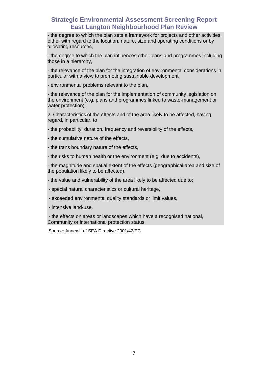- the degree to which the plan sets a framework for projects and other activities, either with regard to the location, nature, size and operating conditions or by allocating resources,

- the degree to which the plan influences other plans and programmes including those in a hierarchy,

- the relevance of the plan for the integration of environmental considerations in particular with a view to promoting sustainable development,

- environmental problems relevant to the plan,

- the relevance of the plan for the implementation of community legislation on the environment (e.g. plans and programmes linked to waste-management or water protection).

2. Characteristics of the effects and of the area likely to be affected, having regard, in particular, to

- the probability, duration, frequency and reversibility of the effects,

- the cumulative nature of the effects,

- the trans boundary nature of the effects,

- the risks to human health or the environment (e.g. due to accidents),

- the magnitude and spatial extent of the effects (geographical area and size of the population likely to be affected),

- the value and vulnerability of the area likely to be affected due to:

- special natural characteristics or cultural heritage,
- exceeded environmental quality standards or limit values,
- intensive land-use,

- the effects on areas or landscapes which have a recognised national, Community or international protection status.

Source: Annex II of SEA Directive 2001/42/EC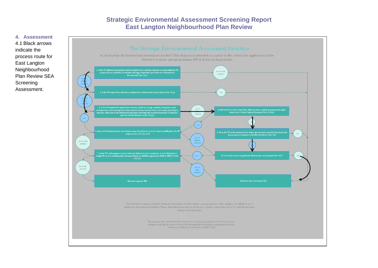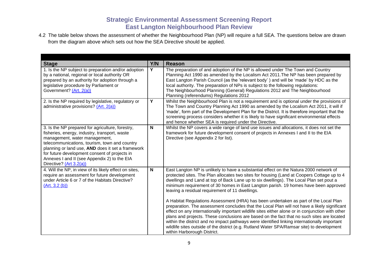4.2 The table below shows the assessment of whether the Neighbourhood Plan (NP) will require a full SEA. The questions below are drawn from the diagram above which sets out how the SEA Directive should be applied.

| <b>Stage</b>                                                                                                                                                                                                                                                                                                                                                         | Y/N          | <b>Reason</b>                                                                                                                                                                                                                                                                                                                                                                                                                                                                                                                                                                                                                                                                                                                                                                                                                                                                                                                                                                                                                                   |
|----------------------------------------------------------------------------------------------------------------------------------------------------------------------------------------------------------------------------------------------------------------------------------------------------------------------------------------------------------------------|--------------|-------------------------------------------------------------------------------------------------------------------------------------------------------------------------------------------------------------------------------------------------------------------------------------------------------------------------------------------------------------------------------------------------------------------------------------------------------------------------------------------------------------------------------------------------------------------------------------------------------------------------------------------------------------------------------------------------------------------------------------------------------------------------------------------------------------------------------------------------------------------------------------------------------------------------------------------------------------------------------------------------------------------------------------------------|
| 1. Is the NP subject to preparation and/or adoption<br>by a national, regional or local authority OR<br>prepared by an authority for adoption through a<br>legislative procedure by Parliament or<br>Government? (Art. 2(a))                                                                                                                                         | Y            | The preparation of and adoption of the NP is allowed under The Town and Country<br>Planning Act 1990 as amended by the Localism Act 2011. The NP has been prepared by<br>East Langton Parish Council (as the 'relevant body') and will be 'made' by HDC as the<br>local authority. The preparation of NPs is subject to the following regulations:<br>The Neighbourhood Planning (General) Regulations 2012 and The Neighbourhood<br>Planning (referendums) Regulations 2012                                                                                                                                                                                                                                                                                                                                                                                                                                                                                                                                                                    |
| 2. Is the NP required by legislative, regulatory or<br>administrative provisions? $(Art. 2(a))$                                                                                                                                                                                                                                                                      | Y            | Whilst the Neighbourhood Plan is not a requirement and is optional under the provisions of<br>The Town and Country Planning Act 1990 as amended by the Localism Act 2011, it will if<br>'made', form part of the Development Plan for the District. It is therefore important that the<br>screening process considers whether it is likely to have significant environmental effects<br>and hence whether SEA is required under the Directive.                                                                                                                                                                                                                                                                                                                                                                                                                                                                                                                                                                                                  |
| 3. Is the NP prepared for agriculture, forestry,<br>fisheries, energy, industry, transport, waste<br>management, water management,<br>telecommunications, tourism, town and country<br>planning or land use, AND does it set a framework<br>for future development consent of projects in<br>Annexes I and II (see Appendix 2) to the EIA<br>Directive? (Art 3.2(a)) | N            | Whilst the NP covers a wide range of land use issues and allocations, it does not set the<br>framework for future development consent of projects in Annexes I and II to the EIA<br>Directive (see Appendix 2 for list).                                                                                                                                                                                                                                                                                                                                                                                                                                                                                                                                                                                                                                                                                                                                                                                                                        |
| 4. Will the NP, in view of its likely effect on sites,<br>require an assessment for future development<br>under Article 6 or 7 of the Habitats Directive?<br>(Art. 3.2(b))                                                                                                                                                                                           | $\mathsf{N}$ | East Langton NP is unlikely to have a substantial effect on the Natura 2000 network of<br>protected sites. The Plan allocates two sites for housing (Land at Coopers Cottage up to 4<br>dwellings and Land at top of Back Lane up to six dwellings). The Local Plan set pout a<br>minimum requirement of 30 homes in East Langton parish. 19 homes have been approved<br>leaving a residual requirement of 11 dwellings.<br>A Habitat Regulations Assessment (HRA) has been undertaken as part of the Local Plan<br>preparation. The assessment concludes that the Local Plan will not have a likely significant<br>effect on any internationally important wildlife sites either alone or in conjunction with other<br>plans and projects. These conclusions are based on the fact that no such sites are located<br>within the district and no impact pathways were identified linking internationally important<br>wildlife sites outside of the district (e.g. Rutland Water SPA/Ramsar site) to development<br>within Harborough District. |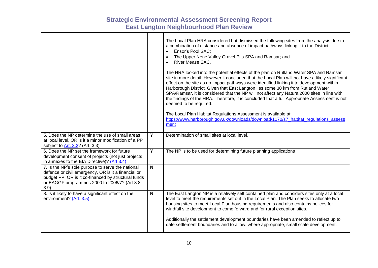|                                                                                                                                                                                                                          |                | The Local Plan HRA considered but dismissed the following sites from the analysis due to<br>a combination of distance and absence of impact pathways linking it to the District:<br>Ensor's Pool SAC;<br>$\bullet$<br>The Upper Nene Valley Gravel Pits SPA and Ramsar; and<br>$\bullet$<br>River Mease SAC.<br>The HRA looked into the potential effects of the plan on Rutland Water SPA and Ramsar<br>site in more detail. However it concluded that the Local Plan will not have a likely significant<br>effect on the site as no impact pathways were identified linking it to development within<br>Harborough District. Given that East Langton lies some 30 km from Rutland Water<br>SPA/Ramsar, it is considered that the NP will not affect any Natura 2000 sites in line with<br>the findings of the HRA. Therefore, it is concluded that a full Appropriate Assessment is not<br>deemed to be required.<br>The Local Plan Habitat Regulations Assessment is available at:<br>https://www.harborough.gov.uk/downloads/download/1170/s7 habitat regulations assess<br>ment |
|--------------------------------------------------------------------------------------------------------------------------------------------------------------------------------------------------------------------------|----------------|--------------------------------------------------------------------------------------------------------------------------------------------------------------------------------------------------------------------------------------------------------------------------------------------------------------------------------------------------------------------------------------------------------------------------------------------------------------------------------------------------------------------------------------------------------------------------------------------------------------------------------------------------------------------------------------------------------------------------------------------------------------------------------------------------------------------------------------------------------------------------------------------------------------------------------------------------------------------------------------------------------------------------------------------------------------------------------------|
| 5. Does the NP determine the use of small areas<br>at local level, OR is it a minor modification of a PP<br>subject to Art. 3.2? (Art. 3.3)                                                                              | Y              | Determination of small sites at local level.                                                                                                                                                                                                                                                                                                                                                                                                                                                                                                                                                                                                                                                                                                                                                                                                                                                                                                                                                                                                                                         |
| 6. Does the NP set the framework for future<br>development consent of projects (not just projects<br>in annexes to the EIA Directive)? (Art 3.4)                                                                         | $\overline{Y}$ | The NP is to be used for determining future planning applications                                                                                                                                                                                                                                                                                                                                                                                                                                                                                                                                                                                                                                                                                                                                                                                                                                                                                                                                                                                                                    |
| 7. Is the NP's sole purpose to serve the national<br>defence or civil emergency, OR is it a financial or<br>budget PP, OR is it co-financed by structural funds<br>or EAGGF programmes 2000 to 2006/7? (Art 3.8,<br>3.9) | N              |                                                                                                                                                                                                                                                                                                                                                                                                                                                                                                                                                                                                                                                                                                                                                                                                                                                                                                                                                                                                                                                                                      |
| 8. Is it likely to have a significant effect on the<br>environment? (Art. 3.5)                                                                                                                                           | $\mathsf{N}$   | The East Langton NP is a relatively self contained plan and considers sites only at a local<br>level to meet the requirements set out in the Local Plan. The Plan seeks to allocate two<br>housing sites to meet Local Plan housing requirements and also contains polices for<br>windfall site development to come forward and for rural exception sites.<br>Additionally the settlement development boundaries have been amended to reflect up to<br>date settlement boundaries and to allow, where appropriate, small scale development.                                                                                                                                                                                                                                                                                                                                                                                                                                                                                                                                          |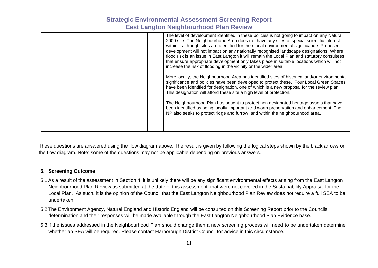| increase the risk of flooding in the vicinity or the wider area.    | The level of development identified in these policies is not going to impact on any Natura<br>2000 site. The Neighbourhood Area does not have any sites of special scientific interest<br>within it although sites are identified for their local environmental significance. Proposed<br>development will not impact on any nationally recognised landscape designations. Where<br>flood risk is an issue in East Langton it will remain the Local Plan and statutory consultees<br>that ensure appropriate development only takes place in suitable locations which will not |
|---------------------------------------------------------------------|--------------------------------------------------------------------------------------------------------------------------------------------------------------------------------------------------------------------------------------------------------------------------------------------------------------------------------------------------------------------------------------------------------------------------------------------------------------------------------------------------------------------------------------------------------------------------------|
| This designation will afford these site a high level of protection. | More locally, the Neighbourhood Area has identified sites of historical and/or environmental<br>significance and policies have been developed to protect these. Four Local Green Spaces<br>have been identified for designation, one of which is a new proposal for the review plan.                                                                                                                                                                                                                                                                                           |
|                                                                     | The Neighbourhood Plan has sought to protect non designated heritage assets that have<br>been identified as being locally important and worth preservation and enhancement. The<br>NP also seeks to protect ridge and furrow land within the neighbourhood area.                                                                                                                                                                                                                                                                                                               |

These questions are answered using the flow diagram above. The result is given by following the logical steps shown by the black arrows on the flow diagram. Note: some of the questions may not be applicable depending on previous answers.

#### **5. Screening Outcome**

- 5.1 As a result of the assessment in Section 4, it is unlikely there will be any significant environmental effects arising from the East Langton Neighbourhood Plan Review as submitted at the date of this assessment, that were not covered in the Sustainability Appraisal for the Local Plan. As such, it is the opinion of the Council that the East Langton Neighbourhood Plan Review does not require a full SEA to be undertaken.
- 5.2 The Environment Agency, Natural England and Historic England will be consulted on this Screening Report prior to the Councils determination and their responses will be made available through the East Langton Neighbourhood Plan Evidence base.
- 5.3 If the issues addressed in the Neighbourhood Plan should change then a new screening process will need to be undertaken determine whether an SEA will be required. Please contact Harborough District Council for advice in this circumstance.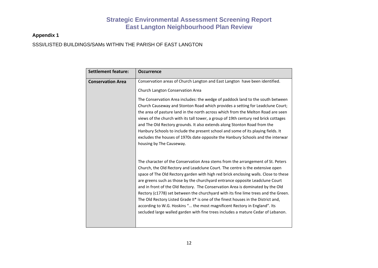#### **Appendix 1**

SSSI/LISTED BUILDINGS/SAMs WITHIN THE PARISH OF EAST LANGTON

| <b>Settlement feature:</b> | <b>Occurrence</b>                                                                                                                                                                                                                                                                                                                                                                                                                                                                                                                                                                                                                                                                                                                                                     |
|----------------------------|-----------------------------------------------------------------------------------------------------------------------------------------------------------------------------------------------------------------------------------------------------------------------------------------------------------------------------------------------------------------------------------------------------------------------------------------------------------------------------------------------------------------------------------------------------------------------------------------------------------------------------------------------------------------------------------------------------------------------------------------------------------------------|
| <b>Conservation Area</b>   | Conservation areas of Church Langton and East Langton have been identified.<br>Church Langton Conservation Area                                                                                                                                                                                                                                                                                                                                                                                                                                                                                                                                                                                                                                                       |
|                            | The Conservation Area includes: the wedge of paddock land to the south between<br>Church Causeway and Stonton Road which provides a setting for Leadclune Court;<br>the area of pasture land in the north across which from the Melton Road are seen<br>views of the church with its tall tower, a group of 19th century red brick cottages<br>and The Old Rectory grounds. It also extends along Stonton Road from the<br>Hanbury Schools to include the present school and some of its playing fields. It<br>excludes the houses of 1970s date opposite the Hanbury Schools and the interwar<br>housing by The Causeway.                                                                                                                                            |
|                            | The character of the Conservation Area stems from the arrangement of St. Peters<br>Church, the Old Rectory and Leadclune Court. The centre is the extensive open<br>space of The Old Rectory garden with high red brick enclosing walls. Close to these<br>are greens such as those by the churchyard entrance opposite Leadclune Court<br>and in front of the Old Rectory. The Conservation Area is dominated by the Old<br>Rectory (c1778) set between the churchyard with its fine lime trees and the Green.<br>The Old Rectory Listed Grade II* is one of the finest houses in the District and,<br>according to W.G. Hoskins " the most magnificent Rectory in England". Its<br>secluded large walled garden with fine trees includes a mature Cedar of Lebanon. |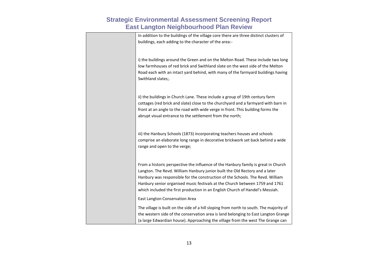| In addition to the buildings of the village core there are three distinct clusters of<br>buildings, each adding to the character of the area:-                                                                                                                                                                                                                                                                       |
|----------------------------------------------------------------------------------------------------------------------------------------------------------------------------------------------------------------------------------------------------------------------------------------------------------------------------------------------------------------------------------------------------------------------|
|                                                                                                                                                                                                                                                                                                                                                                                                                      |
| i) the buildings around the Green and on the Melton Road. These include two long<br>low farmhouses of red brick and Swithland slate on the west side of the Melton<br>Road each with an intact yard behind, with many of the farmyard buildings having<br>Swithland slates;.                                                                                                                                         |
| ii) the buildings in Church Lane. These include a group of 19th century farm<br>cottages (red brick and slate) close to the churchyard and a farmyard with barn in<br>front at an angle to the road with wide verge in front. This building forms the<br>abrupt visual entrance to the settlement from the north;                                                                                                    |
| iii) the Hanbury Schools (1873) incorporating teachers houses and schools<br>comprise an elaborate long range in decorative brickwork set back behind a wide<br>range and open to the verge;                                                                                                                                                                                                                         |
| From a historic perspective the influence of the Hanbury family is great in Church<br>Langton. The Revd. William Hanbury junior built the Old Rectory and a later<br>Hanbury was responsible for the construction of the Schools. The Revd. William<br>Hanbury senior organised music festivals at the Church between 1759 and 1761<br>which included the first production in an English Church of Handel's Messiah. |
| East Langton Conservation Area                                                                                                                                                                                                                                                                                                                                                                                       |
| The village is built on the side of a hill sloping from north to south. The majority of<br>the western side of the conservation area is land belonging to East Langton Grange<br>(a large Edwardian house). Approaching the village from the west The Grange can                                                                                                                                                     |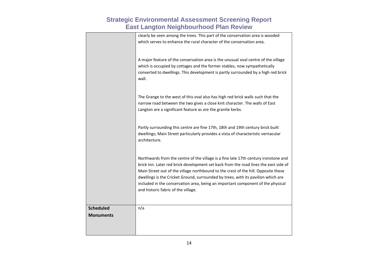|                  | clearly be seen among the trees. This part of the conservation area is wooded<br>which serves to enhance the rural character of the conservation area.                                                                                                                                                                                                                                                                                                                           |
|------------------|----------------------------------------------------------------------------------------------------------------------------------------------------------------------------------------------------------------------------------------------------------------------------------------------------------------------------------------------------------------------------------------------------------------------------------------------------------------------------------|
|                  | A major feature of the conservation area is the unusual oval centre of the village<br>which is occupied by cottages and the former stables, now sympathetically<br>converted to dwellings. This development is partly surrounded by a high red brick<br>wall.                                                                                                                                                                                                                    |
|                  | The Grange to the west of this oval also has high red brick walls such that the<br>narrow road between the two gives a close knit character. The walls of East<br>Langton are a significant feature as are the granite kerbs.                                                                                                                                                                                                                                                    |
|                  | Partly surrounding this centre are fine 17th, 18th and 19th century brick built<br>dwellings; Main Street particularly provides a vista of characteristic vernacular<br>architecture.                                                                                                                                                                                                                                                                                            |
|                  | Northwards from the centre of the village is a fine late 17th century ironstone and<br>brick Inn. Later red brick development set back from the road lines the east side of<br>Main Street out of the village northbound to the crest of the hill. Opposite these<br>dwellings is the Cricket Ground, surrounded by trees, with its pavilion which are<br>included in the conservation area, being an important component of the physical<br>and historic fabric of the village. |
|                  |                                                                                                                                                                                                                                                                                                                                                                                                                                                                                  |
| <b>Scheduled</b> | n/a                                                                                                                                                                                                                                                                                                                                                                                                                                                                              |
| <b>Monuments</b> |                                                                                                                                                                                                                                                                                                                                                                                                                                                                                  |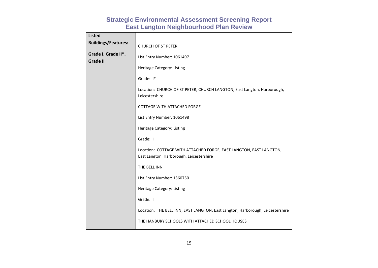| <b>Listed</b>                          |                                                                                                                |
|----------------------------------------|----------------------------------------------------------------------------------------------------------------|
| <b>Buildings/Features:</b>             | <b>CHURCH OF ST PETER</b>                                                                                      |
| Grade I, Grade II*,<br><b>Grade II</b> | List Entry Number: 1061497                                                                                     |
|                                        | Heritage Category: Listing                                                                                     |
|                                        | Grade: II*                                                                                                     |
|                                        | Location: CHURCH OF ST PETER, CHURCH LANGTON, East Langton, Harborough,<br>Leicestershire                      |
|                                        | <b>COTTAGE WITH ATTACHED FORGE</b>                                                                             |
|                                        | List Entry Number: 1061498                                                                                     |
|                                        | Heritage Category: Listing                                                                                     |
|                                        | Grade: II                                                                                                      |
|                                        | Location: COTTAGE WITH ATTACHED FORGE, EAST LANGTON, EAST LANGTON,<br>East Langton, Harborough, Leicestershire |
|                                        | THE BELL INN                                                                                                   |
|                                        | List Entry Number: 1360750                                                                                     |
|                                        | Heritage Category: Listing                                                                                     |
|                                        | Grade: II                                                                                                      |
|                                        | Location: THE BELL INN, EAST LANGTON, East Langton, Harborough, Leicestershire                                 |
|                                        | THE HANBURY SCHOOLS WITH ATTACHED SCHOOL HOUSES                                                                |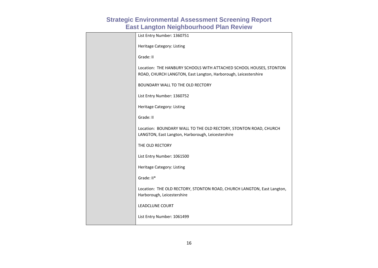| List Entry Number: 1360751                                                                                                           |
|--------------------------------------------------------------------------------------------------------------------------------------|
| Heritage Category: Listing                                                                                                           |
| Grade: II                                                                                                                            |
| Location: THE HANBURY SCHOOLS WITH ATTACHED SCHOOL HOUSES, STONTON<br>ROAD, CHURCH LANGTON, East Langton, Harborough, Leicestershire |
| BOUNDARY WALL TO THE OLD RECTORY                                                                                                     |
| List Entry Number: 1360752                                                                                                           |
| Heritage Category: Listing                                                                                                           |
| Grade: II                                                                                                                            |
| Location: BOUNDARY WALL TO THE OLD RECTORY, STONTON ROAD, CHURCH<br>LANGTON, East Langton, Harborough, Leicestershire                |
| THE OLD RECTORY                                                                                                                      |
| List Entry Number: 1061500                                                                                                           |
| Heritage Category: Listing                                                                                                           |
| Grade: II*                                                                                                                           |
| Location: THE OLD RECTORY, STONTON ROAD, CHURCH LANGTON, East Langton,<br>Harborough, Leicestershire                                 |
| <b>LEADCLUNE COURT</b>                                                                                                               |
| List Entry Number: 1061499                                                                                                           |
|                                                                                                                                      |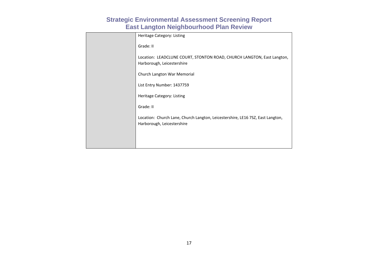| Heritage Category: Listing                                                                                   |
|--------------------------------------------------------------------------------------------------------------|
| Grade: II                                                                                                    |
| Location: LEADCLUNE COURT, STONTON ROAD, CHURCH LANGTON, East Langton,<br>Harborough, Leicestershire         |
| Church Langton War Memorial                                                                                  |
| List Entry Number: 1437759                                                                                   |
| Heritage Category: Listing                                                                                   |
| Grade: II                                                                                                    |
| Location: Church Lane, Church Langton, Leicestershire, LE16 7SZ, East Langton,<br>Harborough, Leicestershire |
|                                                                                                              |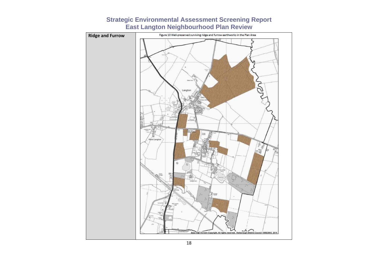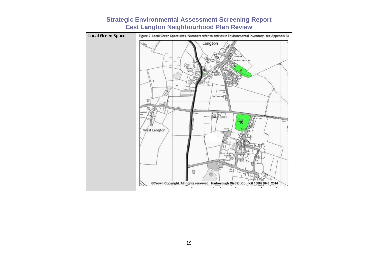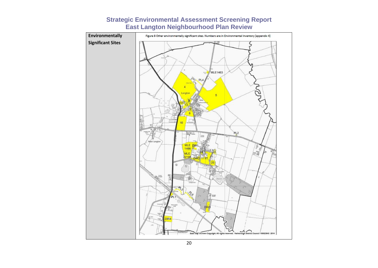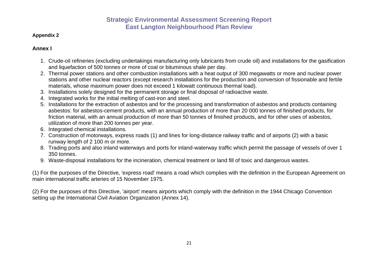#### **Appendix 2**

#### **Annex I**

- 1. Crude-oil refineries (excluding undertakings manufacturing only lubricants from crude oil) and installations for the gasification and liquefaction of 500 tonnes or more of coal or bituminous shale per day.
- 2. Thermal power stations and other combustion installations with a heat output of 300 megawatts or more and nuclear power stations and other nuclear reactors (except research installations for the production and conversion of fissionable and fertile materials, whose maximum power does not exceed 1 kilowatt continuous thermal load).
- 3. Installations solely designed for the permanent storage or final disposal of radioactive waste.
- 4. Integrated works for the initial melting of cast-iron and steel.
- 5. Installations for the extraction of asbestos and for the processing and transformation of asbestos and products containing asbestos: for asbestos-cement products, with an annual production of more than 20 000 tonnes of finished products, for friction material, with an annual production of more than 50 tonnes of finished products, and for other uses of asbestos, utilization of more than 200 tonnes per year.
- 6. Integrated chemical installations.
- 7. Construction of motorways, express roads (1) and lines for long-distance railway traffic and of airports (2) with a basic runway length of 2 100 m or more.
- 8. Trading ports and also inland waterways and ports for inland-waterway traffic which permit the passage of vessels of over 1 350 tonnes.
- 9. Waste-disposal installations for the incineration, chemical treatment or land fill of toxic and dangerous wastes.

(1) For the purposes of the Directive, 'express road' means a road which complies with the definition in the European Agreement on main international traffic arteries of 15 November 1975.

(2) For the purposes of this Directive, 'airport' means airports which comply with the definition in the 1944 Chicago Convention setting up the International Civil Aviation Organization (Annex 14).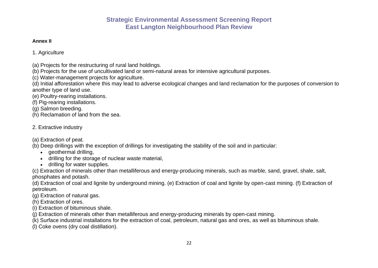#### **Annex II**

1. Agriculture

- (a) Projects for the restructuring of rural land holdings.
- (b) Projects for the use of uncultivated land or semi-natural areas for intensive agricultural purposes.
- (c) Water-management projects for agriculture.

(d) Initial afforestation where this may lead to adverse ecological changes and land reclamation for the purposes of conversion to another type of land use.

(e) Poultry-rearing installations.

(f) Pig-rearing installations.

(g) Salmon breeding.

(h) Reclamation of land from the sea.

## 2. Extractive industry

(a) Extraction of peat.

- (b) Deep drillings with the exception of drillings for investigating the stability of the soil and in particular:
	- geothermal drilling,
	- drilling for the storage of nuclear waste material,
	- drilling for water supplies.

(c) Extraction of minerals other than metalliferous and energy-producing minerals, such as marble, sand, gravel, shale, salt, phosphates and potash.

(d) Extraction of coal and lignite by underground mining. (e) Extraction of coal and lignite by open-cast mining. (f) Extraction of petroleum.

(g) Extraction of natural gas.

(h) Extraction of ores.

- (i) Extraction of bituminous shale.
- (j) Extraction of minerals other than metalliferous and energy-producing minerals by open-cast mining.

(k) Surface industrial installations for the extraction of coal, petroleum, natural gas and ores, as well as bituminous shale.

(l) Coke ovens (dry coal distillation).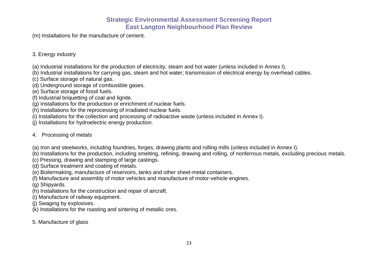(m) Installations for the manufacture of cement.

#### 3. Energy industry

- (a) Industrial installations for the production of electricity, steam and hot water (unless included in Annex I).
- (b) Industrial installations for carrying gas, steam and hot water; transmission of electrical energy by overhead cables.
- (c) Surface storage of natural gas.
- (d) Underground storage of combustible gases.
- (e) Surface storage of fossil fuels.
- (f) Industrial briquetting of coal and lignite.
- (g) Installations for the production or enrichment of nuclear fuels.
- (h) Installations for the reprocessing of irradiated nuclear fuels.
- (i) Installations for the collection and processing of radioactive waste (unless included in Annex I).
- (j) Installations for hydroelectric energy production.

## 4. Processing of metals

- (a) Iron and steelworks, including foundries, forges, drawing plants and rolling mills (unless included in Annex I).
- (b) Installations for the production, including smelting, refining, drawing and rolling, of nonferrous metals, excluding precious metals.
- (c) Pressing, drawing and stamping of large castings.
- (d) Surface treatment and coating of metals.
- (e) Boilermaking, manufacture of reservoirs, tanks and other sheet-metal containers.
- (f) Manufacture and assembly of motor vehicles and manufacture of motor-vehicle engines.
- (g) Shipyards.
- (h) Installations for the construction and repair of aircraft.
- (i) Manufacture of railway equipment.
- (j) Swaging by explosives.
- (k) Installations for the roasting and sintering of metallic ores.
- 5. Manufacture of glass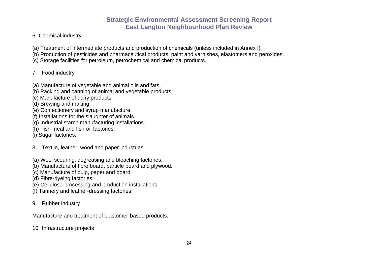- 6. Chemical industry
- (a) Treatment of intermediate products and production of chemicals (unless included in Annex I).
- (b) Production of pesticides and pharmaceutical products, paint and varnishes, elastomers and peroxides.
- (c) Storage facilities for petroleum, petrochemical and chemical products.

## 7. Food industry

- (a) Manufacture of vegetable and animal oils and fats.
- (b) Packing and canning of animal and vegetable products.
- (c) Manufacture of dairy products.
- (d) Brewing and malting.
- (e) Confectionery and syrup manufacture.
- (f) Installations for the slaughter of animals.
- (g) Industrial starch manufacturing installations.
- (h) Fish-meal and fish-oil factories.
- (i) Sugar factories.
- 8. Textile, leather, wood and paper industries
- (a) Wool scouring, degreasing and bleaching factories.
- (b) Manufacture of fibre board, particle board and plywood.
- (c) Manufacture of pulp, paper and board.
- (d) Fibre-dyeing factories.
- (e) Cellulose-processing and production installations.
- (f) Tannery and leather-dressing factories.
- 9. Rubber industry

Manufacture and treatment of elastomer-based products.

10. Infrastructure projects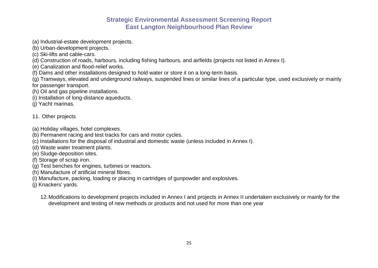- (a) Industrial-estate development projects.
- (b) Urban-development projects.
- (c) Ski-lifts and cable-cars.
- (d) Construction of roads, harbours, including fishing harbours, and airfields (projects not listed in Annex I).
- (e) Canalization and flood-relief works.
- (f) Dams and other installations designed to hold water or store it on a long-term basis.
- (g) Tramways, elevated and underground railways, suspended lines or similar lines of a particular type, used exclusively or mainly for passenger transport.
- (h) Oil and gas pipeline installations.
- (i) Installation of long-distance aqueducts.
- (j) Yacht marinas.

#### 11. Other projects

- (a) Holiday villages, hotel complexes.
- (b) Permanent racing and test tracks for cars and motor cycles.
- (c) Installations for the disposal of industrial and domestic waste (unless included in Annex I).
- (d) Waste water treatment plants.
- (e) Sludge-deposition sites.
- (f) Storage of scrap iron.
- (g) Test benches for engines, turbines or reactors.
- (h) Manufacture of artificial mineral fibres.
- (i) Manufacture, packing, loading or placing in cartridges of gunpowder and explosives.
- (j) Knackers' yards.
	- 12.Modifications to development projects included in Annex I and projects in Annex II undertaken exclusively or mainly for the development and testing of new methods or products and not used for more than one year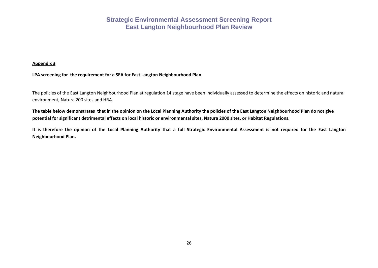#### **Appendix 3**

#### **LPA screening for the requirement for a SEA for East Langton Neighbourhood Plan**

The policies of the East Langton Neighbourhood Plan at regulation 14 stage have been individually assessed to determine the effects on historic and natural environment, Natura 200 sites and HRA.

**The table below demonstrates that in the opinion on the Local Planning Authority the policies of the East Langton Neighbourhood Plan do not give potential for significant detrimental effects on local historic or environmental sites, Natura 2000 sites, or Habitat Regulations.**

**It is therefore the opinion of the Local Planning Authority that a full Strategic Environmental Assessment is not required for the East Langton Neighbourhood Plan.**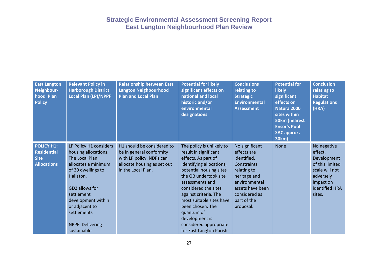| <b>East Langton</b><br>Neighbour-<br>hood Plan<br><b>Policy</b>              | <b>Relevant Policy in</b><br><b>Harborough District</b><br><b>Local Plan (LP)/NPPF</b>                                                                                                                                                                      | <b>Relationship between East</b><br><b>Langton Neighbourhood</b><br><b>Plan and Local Plan</b>                                          | <b>Potential for likely</b><br>significant effects on<br>national and local<br>historic and/or<br>environmental<br>designations                                                                                                                                                                                                                                    | <b>Conclusions</b><br>relating to<br><b>Strategic</b><br><b>Environmental</b><br><b>Assessment</b>                                                                           | <b>Potential for</b><br><b>likely</b><br>significant<br>effects on<br>Natura 2000<br>sites within<br><b>50km (nearest</b><br><b>Ensor's Pool</b><br><b>SAC approx.</b><br>30km) | <b>Conclusion</b><br>relating to<br><b>Habitat</b><br><b>Regulations</b><br>(HRA)                                                |
|------------------------------------------------------------------------------|-------------------------------------------------------------------------------------------------------------------------------------------------------------------------------------------------------------------------------------------------------------|-----------------------------------------------------------------------------------------------------------------------------------------|--------------------------------------------------------------------------------------------------------------------------------------------------------------------------------------------------------------------------------------------------------------------------------------------------------------------------------------------------------------------|------------------------------------------------------------------------------------------------------------------------------------------------------------------------------|---------------------------------------------------------------------------------------------------------------------------------------------------------------------------------|----------------------------------------------------------------------------------------------------------------------------------|
| <b>POLICY H1:</b><br><b>Residential</b><br><b>Site</b><br><b>Allocations</b> | LP Policy H1 considers<br>housing allocations.<br>The Local Plan<br>allocates a minimum<br>of 30 dwellings to<br>Hallaton.<br>GD2 allows for<br>settlement<br>development within<br>or adjacent to<br>settlements<br><b>NPPF: Delivering</b><br>sustainable | H1 should be considered to<br>be in general conformity<br>with LP policy. NDPs can<br>allocate housing as set out<br>in the Local Plan. | The policy is unlikely to<br>result in significant<br>effects. As part of<br>identifying allocations,<br>potential housing sites<br>the QB undertook site<br>assessments and<br>considered the sites<br>against criteria. The<br>most suitable sites have<br>been chosen. The<br>quantum of<br>development is<br>considered appropriate<br>for East Langton Parish | No significant<br>effects are<br>identified.<br>Constraints<br>relating to<br>heritage and<br>environmental<br>assets have been<br>considered as<br>part of the<br>proposal. | <b>None</b>                                                                                                                                                                     | No negative<br>effect.<br>Development<br>of this limited<br>scale will not<br>adversely<br>impact on<br>identified HRA<br>sites. |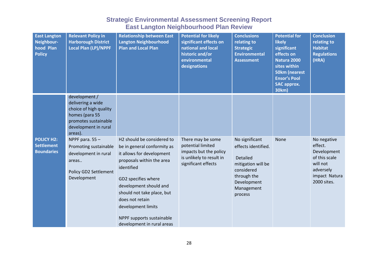| <b>East Langton</b><br>Neighbour-<br>hood Plan<br><b>Policy</b> | <b>Relevant Policy in</b><br><b>Harborough District</b><br>Local Plan (LP)/NPPF                                                           | <b>Relationship between East</b><br><b>Langton Neighbourhood</b><br><b>Plan and Local Plan</b>                                                                                                                                                                                                                       | <b>Potential for likely</b><br>significant effects on<br>national and local<br>historic and/or<br>environmental<br>designations | <b>Conclusions</b><br>relating to<br><b>Strategic</b><br><b>Environmental</b><br><b>Assessment</b>                                                  | <b>Potential for</b><br><b>likely</b><br>significant<br>effects on<br><b>Natura 2000</b><br>sites within<br><b>50km (nearest</b><br><b>Ensor's Pool</b><br><b>SAC approx.</b><br>30km) | <b>Conclusion</b><br>relating to<br><b>Habitat</b><br><b>Regulations</b><br>(HRA)                               |
|-----------------------------------------------------------------|-------------------------------------------------------------------------------------------------------------------------------------------|----------------------------------------------------------------------------------------------------------------------------------------------------------------------------------------------------------------------------------------------------------------------------------------------------------------------|---------------------------------------------------------------------------------------------------------------------------------|-----------------------------------------------------------------------------------------------------------------------------------------------------|----------------------------------------------------------------------------------------------------------------------------------------------------------------------------------------|-----------------------------------------------------------------------------------------------------------------|
|                                                                 | development /<br>delivering a wide<br>choice of high quality<br>homes (para 55<br>promotes sustainable<br>development in rural<br>areas). |                                                                                                                                                                                                                                                                                                                      |                                                                                                                                 |                                                                                                                                                     |                                                                                                                                                                                        |                                                                                                                 |
| <b>POLICY H2:</b><br><b>Settlement</b><br><b>Boundaries</b>     | NPPF para. $55 -$<br>Promoting sustainable<br>development in rural<br>areas<br>Policy GD2 Settlement<br>Development                       | H2 should be considered to<br>be in general conformity as<br>it allows for development<br>proposals within the area<br>identified<br>GD2 specifies where<br>development should and<br>should not take place, but<br>does not retain<br>development limits<br>NPPF supports sustainable<br>development in rural areas | There may be some<br>potential limited<br>impacts but the policy<br>is unlikely to result in<br>significant effects             | No significant<br>effects identified.<br><b>Detailed</b><br>mitigation will be<br>considered<br>through the<br>Development<br>Management<br>process | <b>None</b>                                                                                                                                                                            | No negative<br>effect.<br>Development<br>of this scale<br>will not<br>adversely<br>impact Natura<br>2000 sites. |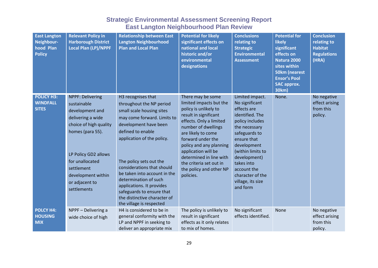| <b>East Langton</b><br>Neighbour-<br>hood Plan<br><b>Policy</b> | <b>Relevant Policy in</b><br><b>Harborough District</b><br><b>Local Plan (LP)/NPPF</b>                                                                                                                                                       | <b>Relationship between East</b><br><b>Langton Neighbourhood</b><br><b>Plan and Local Plan</b>                                                                                                                                                                                                                                                                                                                                 | <b>Potential for likely</b><br>significant effects on<br>national and local<br>historic and/or<br>environmental<br>designations                                                                                                                                                                                                             | <b>Conclusions</b><br>relating to<br><b>Strategic</b><br><b>Environmental</b><br><b>Assessment</b>                                                                                                                                                                            | <b>Potential for</b><br><b>likely</b><br>significant<br>effects on<br>Natura 2000<br>sites within<br><b>50km (nearest</b><br><b>Ensor's Pool</b><br><b>SAC approx.</b><br>30km) | <b>Conclusion</b><br>relating to<br><b>Habitat</b><br><b>Regulations</b><br>(HRA) |
|-----------------------------------------------------------------|----------------------------------------------------------------------------------------------------------------------------------------------------------------------------------------------------------------------------------------------|--------------------------------------------------------------------------------------------------------------------------------------------------------------------------------------------------------------------------------------------------------------------------------------------------------------------------------------------------------------------------------------------------------------------------------|---------------------------------------------------------------------------------------------------------------------------------------------------------------------------------------------------------------------------------------------------------------------------------------------------------------------------------------------|-------------------------------------------------------------------------------------------------------------------------------------------------------------------------------------------------------------------------------------------------------------------------------|---------------------------------------------------------------------------------------------------------------------------------------------------------------------------------|-----------------------------------------------------------------------------------|
| <b>POLICY H3:</b><br><b>WINDFALL</b><br><b>SITES</b>            | <b>NPPF: Delivering</b><br>sustainable<br>development and<br>delivering a wide<br>choice of high quality<br>homes (para 55).<br>LP Policy GD2 allows<br>for unallocated<br>settlement<br>development within<br>or adjacent to<br>settlements | H3 recognises that<br>throughout the NP period<br>small scale housing sites<br>may come forward. Limits to<br>development have been<br>defined to enable<br>application of the policy.<br>The policy sets out the<br>considerations that should<br>be taken into account in the<br>determination of such<br>applications. It provides<br>safeguards to ensure that<br>the distinctive character of<br>the village is respected | There may be some<br>limited impacts but the<br>policy is unlikely to<br>result in significant<br>effects. Only a limited<br>number of dwellings<br>are likely to come<br>forward under the<br>policy and any planning<br>application will be<br>determined in line with<br>the criteria set out in<br>the policy and other NP<br>policies. | Limited impact.<br>No significant<br>effects are<br>identified. The<br>policy includes<br>the necessary<br>safeguards to<br>ensure that<br>development<br>(within limits to<br>development)<br>takes into<br>account the<br>character of the<br>village, its size<br>and form | None.                                                                                                                                                                           | No negative<br>effect arising<br>from this<br>policy.                             |
| <b>POLCY H4:</b><br><b>HOUSING</b><br><b>MIX</b>                | NPPF - Delivering a<br>wide choice of high                                                                                                                                                                                                   | H4 is considered to be in<br>general conformity with the<br>LP and NPPF in seeking to<br>deliver an appropriate mix                                                                                                                                                                                                                                                                                                            | The policy is unlikely to<br>result in significant<br>effects as it only relates<br>to mix of homes.                                                                                                                                                                                                                                        | No significant<br>effects identified.                                                                                                                                                                                                                                         | None                                                                                                                                                                            | No negative<br>effect arising<br>from this<br>policy.                             |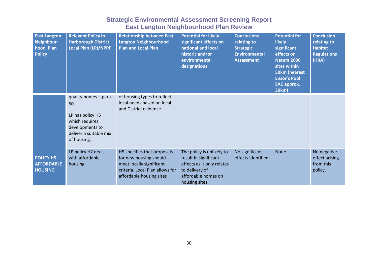| <b>East Langton</b><br>Neighbour-<br>hood Plan<br><b>Policy</b> | <b>Relevant Policy in</b><br><b>Harborough District</b><br><b>Local Plan (LP)/NPPF</b>                                        | <b>Relationship between East</b><br><b>Langton Neighbourhood</b><br><b>Plan and Local Plan</b>                                                   | <b>Potential for likely</b><br>significant effects on<br>national and local<br>historic and/or<br>environmental<br>designations            | <b>Conclusions</b><br>relating to<br><b>Strategic</b><br><b>Environmental</b><br><b>Assessment</b> | <b>Potential for</b><br><b>likely</b><br>significant<br>effects on<br><b>Natura 2000</b><br>sites within<br><b>50km (nearest</b><br><b>Ensor's Pool</b><br><b>SAC approx.</b><br>30km) | <b>Conclusion</b><br>relating to<br><b>Habitat</b><br><b>Regulations</b><br>(HRA) |
|-----------------------------------------------------------------|-------------------------------------------------------------------------------------------------------------------------------|--------------------------------------------------------------------------------------------------------------------------------------------------|--------------------------------------------------------------------------------------------------------------------------------------------|----------------------------------------------------------------------------------------------------|----------------------------------------------------------------------------------------------------------------------------------------------------------------------------------------|-----------------------------------------------------------------------------------|
|                                                                 | quality homes - para.<br>50<br>LP has policy H5<br>which requires<br>developments to<br>deliver a suitable mix<br>of housing. | of housing types to reflect<br>local needs based on local<br>and District evidence                                                               |                                                                                                                                            |                                                                                                    |                                                                                                                                                                                        |                                                                                   |
| POLICY H <sub>5:</sub><br><b>AFFORDABLE</b><br><b>HOUSING</b>   | LP policy H2 deals<br>with affordable<br>housing                                                                              | H5 specifies that proposals<br>for new housing should<br>meet locally significant<br>criteria. Local Plan allows for<br>affordable housing sites | The policy is unlikely to<br>result in significant<br>effects as it only relates<br>to delivery of<br>affordable homes on<br>housing sites | No significant<br>effects identified.                                                              | None.                                                                                                                                                                                  | No negative<br>effect arising<br>from this<br>policy.                             |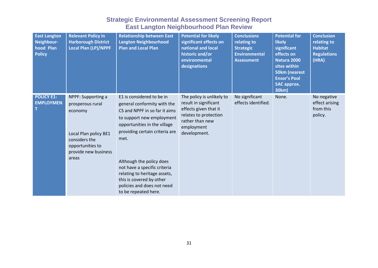| <b>East Langton</b><br>Neighbour-<br>hood Plan<br><b>Policy</b> | <b>Relevant Policy in</b><br><b>Harborough District</b><br>Local Plan (LP)/NPPF                                                                  | <b>Relationship between East</b><br><b>Langton Neighbourhood</b><br><b>Plan and Local Plan</b>                                                                                                                                                                                                                                                                                 | <b>Potential for likely</b><br>significant effects on<br>national and local<br>historic and/or<br>environmental<br>designations                       | <b>Conclusions</b><br>relating to<br><b>Strategic</b><br><b>Environmental</b><br><b>Assessment</b> | <b>Potential for</b><br><b>likely</b><br>significant<br>effects on<br>Natura 2000<br>sites within<br><b>50km (nearest</b><br><b>Ensor's Pool</b><br><b>SAC approx.</b><br>30km) | <b>Conclusion</b><br>relating to<br><b>Habitat</b><br><b>Regulations</b><br>(HRA) |
|-----------------------------------------------------------------|--------------------------------------------------------------------------------------------------------------------------------------------------|--------------------------------------------------------------------------------------------------------------------------------------------------------------------------------------------------------------------------------------------------------------------------------------------------------------------------------------------------------------------------------|-------------------------------------------------------------------------------------------------------------------------------------------------------|----------------------------------------------------------------------------------------------------|---------------------------------------------------------------------------------------------------------------------------------------------------------------------------------|-----------------------------------------------------------------------------------|
| <b>POLICY E1:</b><br><b>EMPLOYMEN</b>                           | NPPF: Supporting a<br>prosperous rural<br>economy<br>Local Plan policy BE1<br>considers the<br>opportunities to<br>provide new business<br>areas | E1 is considered to be in<br>general conformity with the<br>CS and NPPF in so far it aims<br>to support new employment<br>opportunities in the village<br>providing certain criteria are<br>met.<br>Although the policy does<br>not have a specific criteria<br>relating to heritage assets,<br>this is covered by other<br>policies and does not need<br>to be repeated here. | The policy is unlikely to<br>result in significant<br>effects given that it<br>relates to protection<br>rather than new<br>employment<br>development. | No significant<br>effects identified.                                                              | None.                                                                                                                                                                           | No negative<br>effect arising<br>from this<br>policy.                             |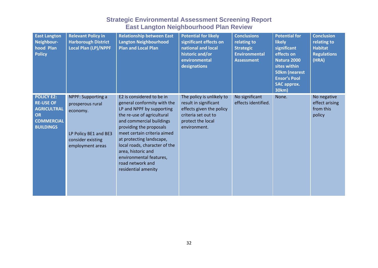| <b>East Langton</b><br>Neighbour-<br>hood Plan<br><b>Policy</b>                                                   | <b>Relevant Policy in</b><br><b>Harborough District</b><br>Local Plan (LP)/NPPF                                      | <b>Relationship between East</b><br><b>Langton Neighbourhood</b><br><b>Plan and Local Plan</b>                                                                                                                                                                                                                                                                     | <b>Potential for likely</b><br>significant effects on<br>national and local<br>historic and/or<br>environmental<br>designations            | <b>Conclusions</b><br>relating to<br><b>Strategic</b><br><b>Environmental</b><br><b>Assessment</b> | <b>Potential for</b><br><b>likely</b><br>significant<br>effects on<br>Natura 2000<br>sites within<br><b>50km (nearest</b><br><b>Ensor's Pool</b><br><b>SAC approx.</b><br>30km) | <b>Conclusion</b><br>relating to<br><b>Habitat</b><br><b>Regulations</b><br>(HRA) |
|-------------------------------------------------------------------------------------------------------------------|----------------------------------------------------------------------------------------------------------------------|--------------------------------------------------------------------------------------------------------------------------------------------------------------------------------------------------------------------------------------------------------------------------------------------------------------------------------------------------------------------|--------------------------------------------------------------------------------------------------------------------------------------------|----------------------------------------------------------------------------------------------------|---------------------------------------------------------------------------------------------------------------------------------------------------------------------------------|-----------------------------------------------------------------------------------|
| <b>POLICY E2:</b><br><b>RE-USE OF</b><br><b>AGRICULTRAL</b><br><b>OR</b><br><b>COMMERCIAL</b><br><b>BUILDINGS</b> | NPPF: Supporting a<br>prosperous rural<br>economy.<br>LP Policy BE1 and BE3<br>consider existing<br>employment areas | E2 is considered to be in<br>general conformity with the<br>LP and NPPF by supporting<br>the re-use of agricultural<br>and commercial buildings<br>providing the proposals<br>meet certain criteria aimed<br>at protecting landscape,<br>local roads, character of the<br>area, historic and<br>environmental features,<br>road network and<br>residential amenity | The policy is unlikely to<br>result in significant<br>effects given the policy<br>criteria set out to<br>protect the local<br>environment. | No significant<br>effects identified.                                                              | None.                                                                                                                                                                           | No negative<br>effect arising<br>from this<br>policy                              |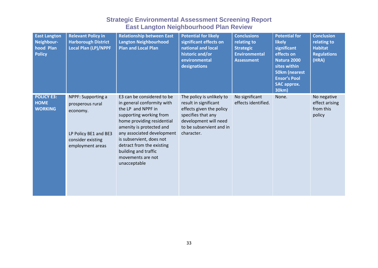| <b>East Langton</b><br>Neighbour-<br>hood Plan<br><b>Policy</b> | <b>Relevant Policy in</b><br><b>Harborough District</b><br><b>Local Plan (LP)/NPPF</b>                               | <b>Relationship between East</b><br><b>Langton Neighbourhood</b><br>Plan and Local Plan                                                                                                                                                                                                                                 | <b>Potential for likely</b><br>significant effects on<br>national and local<br>historic and/or<br>environmental<br>designations                                         | <b>Conclusions</b><br>relating to<br><b>Strategic</b><br><b>Environmental</b><br><b>Assessment</b> | <b>Potential for</b><br><b>likely</b><br>significant<br>effects on<br><b>Natura 2000</b><br>sites within<br><b>50km (nearest</b><br><b>Ensor's Pool</b><br><b>SAC approx.</b><br>30km) | <b>Conclusion</b><br>relating to<br><b>Habitat</b><br><b>Regulations</b><br>(HRA) |
|-----------------------------------------------------------------|----------------------------------------------------------------------------------------------------------------------|-------------------------------------------------------------------------------------------------------------------------------------------------------------------------------------------------------------------------------------------------------------------------------------------------------------------------|-------------------------------------------------------------------------------------------------------------------------------------------------------------------------|----------------------------------------------------------------------------------------------------|----------------------------------------------------------------------------------------------------------------------------------------------------------------------------------------|-----------------------------------------------------------------------------------|
| <b>POLICY E3:</b><br><b>HOME</b><br><b>WORKING</b>              | NPPF: Supporting a<br>prosperous rural<br>economy.<br>LP Policy BE1 and BE3<br>consider existing<br>employment areas | E3 can be considered to be<br>in general conformity with<br>the LP and NPPF in<br>supporting working from<br>home providing residential<br>amenity is protected and<br>any associated development<br>is subservient, does not<br>detract from the existing<br>building and traffic<br>movements are not<br>unacceptable | The policy is unlikely to<br>result in significant<br>effects given the policy<br>specifies that any<br>development will need<br>to be subservient and in<br>character. | No significant<br>effects identified.                                                              | None.                                                                                                                                                                                  | No negative<br>effect arising<br>from this<br>policy                              |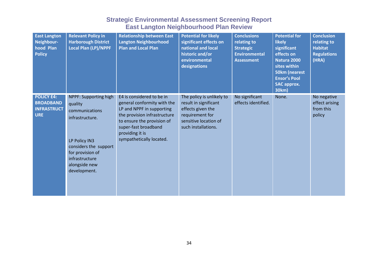| <b>East Langton</b><br>Neighbour-<br>hood Plan<br><b>Policy</b>           | <b>Relevant Policy in</b><br><b>Harborough District</b><br><b>Local Plan (LP)/NPPF</b>                                                                                                 | <b>Relationship between East</b><br><b>Langton Neighbourhood</b><br><b>Plan and Local Plan</b>                                                                                                                             | <b>Potential for likely</b><br>significant effects on<br>national and local<br>historic and/or<br>environmental<br>designations            | <b>Conclusions</b><br>relating to<br><b>Strategic</b><br><b>Environmental</b><br><b>Assessment</b> | <b>Potential for</b><br><b>likely</b><br>significant<br>effects on<br>Natura 2000<br>sites within<br><b>50km (nearest</b><br><b>Ensor's Pool</b><br><b>SAC approx.</b><br>30km) | <b>Conclusion</b><br>relating to<br><b>Habitat</b><br><b>Regulations</b><br>(HRA) |
|---------------------------------------------------------------------------|----------------------------------------------------------------------------------------------------------------------------------------------------------------------------------------|----------------------------------------------------------------------------------------------------------------------------------------------------------------------------------------------------------------------------|--------------------------------------------------------------------------------------------------------------------------------------------|----------------------------------------------------------------------------------------------------|---------------------------------------------------------------------------------------------------------------------------------------------------------------------------------|-----------------------------------------------------------------------------------|
| <b>POLICY E4:</b><br><b>BROADBAND</b><br><b>INFRASTRUCT</b><br><b>URE</b> | NPPF: Supporting high<br>quality<br>communications<br>infrastructure.<br>LP Policy IN3<br>considers the support<br>for provision of<br>infrastructure<br>alongside new<br>development. | E4 is considered to be in<br>general conformity with the<br>LP and NPPF in supporting<br>the provision infrastructure<br>to ensure the provision of<br>super-fast broadband<br>providing it is<br>sympathetically located. | The policy is unlikely to<br>result in significant<br>effects given the<br>requirement for<br>sensitive location of<br>such installations. | No significant<br>effects identified.                                                              | None.                                                                                                                                                                           | No negative<br>effect arising<br>from this<br>policy                              |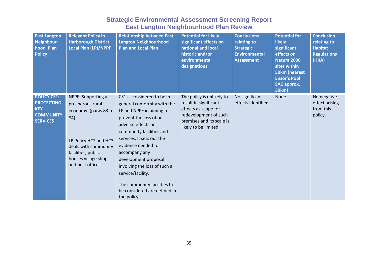| <b>East Langton</b><br>Neighbour-<br>hood Plan<br><b>Policy</b>                              | <b>Relevant Policy in</b><br><b>Harborough District</b><br><b>Local Plan (LP)/NPPF</b>                                                                                                    | <b>Relationship between East</b><br><b>Langton Neighbourhood</b><br><b>Plan and Local Plan</b>                                                                                                                                                                                                | <b>Potential for likely</b><br>significant effects on<br>national and local<br>historic and/or<br>environmental<br>designations                           | <b>Conclusions</b><br>relating to<br><b>Strategic</b><br><b>Environmental</b><br><b>Assessment</b> | <b>Potential for</b><br><b>likely</b><br>significant<br>effects on<br>Natura 2000<br>sites within<br><b>50km (nearest</b><br><b>Ensor's Pool</b><br><b>SAC approx.</b><br>30km) | <b>Conclusion</b><br>relating to<br><b>Habitat</b><br><b>Regulations</b><br>(HRA) |
|----------------------------------------------------------------------------------------------|-------------------------------------------------------------------------------------------------------------------------------------------------------------------------------------------|-----------------------------------------------------------------------------------------------------------------------------------------------------------------------------------------------------------------------------------------------------------------------------------------------|-----------------------------------------------------------------------------------------------------------------------------------------------------------|----------------------------------------------------------------------------------------------------|---------------------------------------------------------------------------------------------------------------------------------------------------------------------------------|-----------------------------------------------------------------------------------|
| <b>POLICY CS1:</b><br><b>PROTECTING</b><br><b>KEY</b><br><b>COMMUNITY</b><br><b>SERVICES</b> | NPPF: Supporting a<br>prosperous rural<br>economy. (paras 83 to<br>84)<br>LP Policy HC2 and HC3<br>deals with community<br>facilities, public<br>houses village shops<br>and post offices | CS1 is considered to be in<br>general conformity with the<br>LP and NPPF in aiming to<br>prevent the loss of or<br>adverse effects on<br>community facilities and<br>services. It sets out the<br>evidence needed to<br>accompany any<br>development proposal<br>involving the loss of such a | The policy is unlikely to<br>result in significant<br>effects as scope for<br>redevelopment of such<br>premises and its scale is<br>likely to be limited. | No significant<br>effects identified.                                                              | None.                                                                                                                                                                           | No negative<br>effect arising<br>from this<br>policy.                             |
|                                                                                              |                                                                                                                                                                                           | service/facility.<br>The community facilities to<br>be considered are defined in<br>the policy                                                                                                                                                                                                |                                                                                                                                                           |                                                                                                    |                                                                                                                                                                                 |                                                                                   |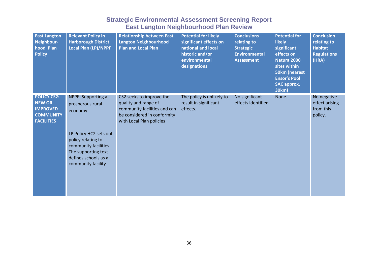| <b>East Langton</b><br>Neighbour-<br>hood Plan<br><b>Policy</b>                                 | <b>Relevant Policy in</b><br><b>Harborough District</b><br><b>Local Plan (LP)/NPPF</b>                                                                                                          | <b>Relationship between East</b><br><b>Langton Neighbourhood</b><br><b>Plan and Local Plan</b>                                              | <b>Potential for likely</b><br>significant effects on<br>national and local<br>historic and/or<br>environmental<br>designations | <b>Conclusions</b><br>relating to<br><b>Strategic</b><br><b>Environmental</b><br><b>Assessment</b> | <b>Potential for</b><br><b>likely</b><br>significant<br>effects on<br><b>Natura 2000</b><br>sites within<br><b>50km (nearest</b><br><b>Ensor's Pool</b><br><b>SAC approx.</b><br>30km) | <b>Conclusion</b><br>relating to<br><b>Habitat</b><br><b>Regulations</b><br>(HRA) |
|-------------------------------------------------------------------------------------------------|-------------------------------------------------------------------------------------------------------------------------------------------------------------------------------------------------|---------------------------------------------------------------------------------------------------------------------------------------------|---------------------------------------------------------------------------------------------------------------------------------|----------------------------------------------------------------------------------------------------|----------------------------------------------------------------------------------------------------------------------------------------------------------------------------------------|-----------------------------------------------------------------------------------|
| <b>POLICY CS2:</b><br><b>NEW OR</b><br><b>IMPROVED</b><br><b>COMMUNITY</b><br><b>FACILITIES</b> | NPPF: Supporting a<br>prosperous rural<br>economy<br>LP Policy HC2 sets out<br>policy relating to<br>community facilities.<br>The supporting text<br>defines schools as a<br>community facility | CS2 seeks to improve the<br>quality and range of<br>community facilities and can<br>be considered in conformity<br>with Local Plan policies | The policy is unlikely to<br>result in significant<br>effects.                                                                  | No significant<br>effects identified.                                                              | None.                                                                                                                                                                                  | No negative<br>effect arising<br>from this<br>policy.                             |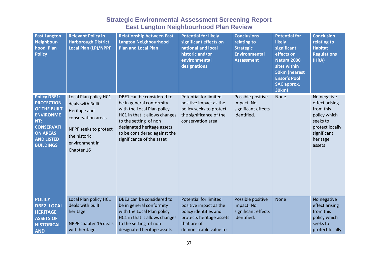| <b>East Langton</b><br>Neighbour-<br>hood Plan<br><b>Policy</b>                                                                                                      | <b>Relevant Policy in</b><br><b>Harborough District</b><br>Local Plan (LP)/NPPF                                                                          | <b>Relationship between East</b><br><b>Langton Neighbourhood</b><br><b>Plan and Local Plan</b>                                                                                                                                           | <b>Potential for likely</b><br>significant effects on<br>national and local<br>historic and/or<br>environmental<br>designations                     | <b>Conclusions</b><br>relating to<br><b>Strategic</b><br><b>Environmental</b><br><b>Assessment</b> | <b>Potential for</b><br><b>likely</b><br>significant<br>effects on<br>Natura 2000<br>sites within<br><b>50km (nearest</b><br><b>Ensor's Pool</b><br><b>SAC approx.</b><br>30km) | <b>Conclusion</b><br>relating to<br><b>Habitat</b><br><b>Regulations</b><br>(HRA)                                              |
|----------------------------------------------------------------------------------------------------------------------------------------------------------------------|----------------------------------------------------------------------------------------------------------------------------------------------------------|------------------------------------------------------------------------------------------------------------------------------------------------------------------------------------------------------------------------------------------|-----------------------------------------------------------------------------------------------------------------------------------------------------|----------------------------------------------------------------------------------------------------|---------------------------------------------------------------------------------------------------------------------------------------------------------------------------------|--------------------------------------------------------------------------------------------------------------------------------|
| <b>Policy DBE1:</b><br><b>PROTECTION</b><br>OF THE BUILT<br><b>ENVIRONME</b><br>NT:<br><b>CONSERVATI</b><br><b>ON AREAS</b><br><b>AND LISTED</b><br><b>BUILDINGS</b> | Local Plan policy HC1<br>deals with Built<br>Heritage and<br>conservation areas<br>NPPF seeks to protect<br>the historic<br>environment in<br>Chapter 16 | DBE1 can be considered to<br>be in general conformity<br>with the Local Plan policy<br>HC1 in that it allows changes<br>to the setting of non<br>designated heritage assets<br>to be considered against the<br>significance of the asset | <b>Potential for limited</b><br>positive impact as the<br>policy seeks to protect<br>the significance of the<br>conservation area                   | Possible positive<br>impact. No<br>significant effects<br>identified.                              | <b>None</b>                                                                                                                                                                     | No negative<br>effect arising<br>from this<br>policy which<br>seeks to<br>protect locally<br>significant<br>heritage<br>assets |
| <b>POLICY</b><br><b>DBE2: LOCAL</b><br><b>HERITAGE</b><br><b>ASSETS OF</b><br><b>HISTORICAL</b><br><b>AND</b>                                                        | Local Plan policy HC1<br>deals with built<br>heritage<br>NPPF chapter 16 deals<br>with heritage                                                          | DBE2 can be considered to<br>be in general conformity<br>with the Local Plan policy<br>HC1 in that it allows changes<br>to the setting of non<br>designated heritage assets                                                              | <b>Potential for limited</b><br>positive impact as the<br>policy identifies and<br>protects heritage assets<br>that are of<br>demonstrable value to | Possible positive<br>impact. No<br>significant effects<br>identified.                              | <b>None</b>                                                                                                                                                                     | No negative<br>effect arising<br>from this<br>policy which<br>seeks to<br>protect locally                                      |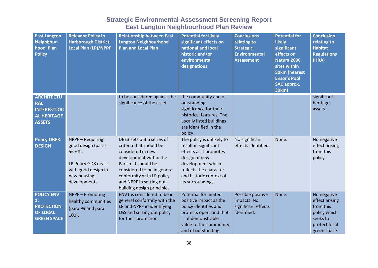| <b>East Langton</b><br>Neighbour-<br>hood Plan<br><b>Policy</b>                                   | <b>Relevant Policy in</b><br><b>Harborough District</b><br><b>Local Plan (LP)/NPPF</b>                                            | <b>Relationship between East</b><br><b>Langton Neighbourhood</b><br><b>Plan and Local Plan</b>                                                                                                                                                    | <b>Potential for likely</b><br>significant effects on<br>national and local<br>historic and/or<br>environmental<br>designations                                                              | <b>Conclusions</b><br>relating to<br><b>Strategic</b><br><b>Environmental</b><br><b>Assessment</b> | <b>Potential for</b><br><b>likely</b><br>significant<br>effects on<br><b>Natura 2000</b><br>sites within<br><b>50km (nearest</b><br><b>Ensor's Pool</b><br><b>SAC approx.</b><br>30km) | <b>Conclusion</b><br>relating to<br><b>Habitat</b><br><b>Regulations</b><br>(HRA)                       |
|---------------------------------------------------------------------------------------------------|-----------------------------------------------------------------------------------------------------------------------------------|---------------------------------------------------------------------------------------------------------------------------------------------------------------------------------------------------------------------------------------------------|----------------------------------------------------------------------------------------------------------------------------------------------------------------------------------------------|----------------------------------------------------------------------------------------------------|----------------------------------------------------------------------------------------------------------------------------------------------------------------------------------------|---------------------------------------------------------------------------------------------------------|
| <b>ARCHITECTU</b><br><b>RAL</b><br><b>INTERESTLOC</b><br><b>AL HERITAGE</b><br><b>ASSETS</b>      |                                                                                                                                   | to be considered against the<br>significance of the asset                                                                                                                                                                                         | the community and of<br>outstanding<br>significance for their<br>historical features. The<br>Locally listed buildings<br>are identified in the<br>policy.                                    |                                                                                                    |                                                                                                                                                                                        | significant<br>heritage<br>assets                                                                       |
| <b>Policy DBE3:</b><br><b>DESIGN</b>                                                              | NPPF - Requiring<br>good design (paras<br>$56-68$ ).<br>LP Policy GD8 deals<br>with good design in<br>new housing<br>developments | DBE3 sets out a series of<br>criteria that should be<br>considered in new<br>development within the<br>Parish. It should be<br>considered to be in general<br>conformity with LP policy<br>and NPPF in setting out<br>building design principles. | The policy is unlikely to<br>result in significant<br>effects as it promotes<br>design of new<br>development which<br>reflects the character<br>and historic context of<br>its surroundings. | No significant<br>effects identified.                                                              | None.                                                                                                                                                                                  | No negative<br>effect arising<br>from this<br>policy.                                                   |
| <b>POLICY ENV</b><br>$\mathbf{1}$ :<br><b>PROTECTION</b><br><b>OF LOCAL</b><br><b>GREEN SPACE</b> | <b>NPPF - Promoting</b><br>healthy communities<br>(para 99 and para<br>$100$ ).                                                   | ENV1 is considered to be in<br>general conformity with the<br>LP and NPPF in identifying<br>LGS and setting out policy<br>for their protection.                                                                                                   | <b>Potential for limited</b><br>positive impact as the<br>policy identifies and<br>protects open land that<br>is of demonstrable<br>value to the community<br>and of outstanding             | Possible positive<br>impacts. No<br>significant effects<br>identified.                             | None.                                                                                                                                                                                  | No negative<br>effect arising<br>from this<br>policy which<br>seeks to<br>protect local<br>green space. |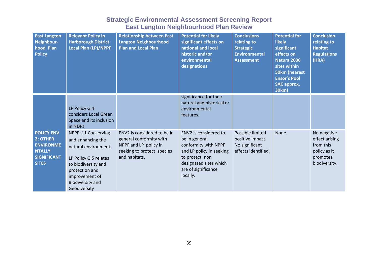| <b>East Langton</b><br>Neighbour-<br>hood Plan<br><b>Policy</b>                                          | <b>Relevant Policy in</b><br><b>Harborough District</b><br><b>Local Plan (LP)/NPPF</b>                                                                                                   | <b>Relationship between East</b><br><b>Langton Neighbourhood</b><br><b>Plan and Local Plan</b>                                 | <b>Potential for likely</b><br>significant effects on<br>national and local<br>historic and/or<br>environmental<br>designations                                            | <b>Conclusions</b><br>relating to<br><b>Strategic</b><br><b>Environmental</b><br><b>Assessment</b> | <b>Potential for</b><br><b>likely</b><br>significant<br>effects on<br>Natura 2000<br>sites within<br><b>50km (nearest</b><br><b>Ensor's Pool</b><br><b>SAC approx.</b><br>30km) | <b>Conclusion</b><br>relating to<br><b>Habitat</b><br><b>Regulations</b><br>(HRA)       |
|----------------------------------------------------------------------------------------------------------|------------------------------------------------------------------------------------------------------------------------------------------------------------------------------------------|--------------------------------------------------------------------------------------------------------------------------------|----------------------------------------------------------------------------------------------------------------------------------------------------------------------------|----------------------------------------------------------------------------------------------------|---------------------------------------------------------------------------------------------------------------------------------------------------------------------------------|-----------------------------------------------------------------------------------------|
|                                                                                                          | LP Policy GI4<br>considers Local Green<br>Space and its inclusion<br>in NDPs                                                                                                             |                                                                                                                                | significance for their<br>natural and historical or<br>environmental<br>features.                                                                                          |                                                                                                    |                                                                                                                                                                                 |                                                                                         |
| <b>POLICY ENV</b><br>2: OTHER<br><b>ENVIRONME</b><br><b>NTALLY</b><br><b>SIGNIFICANT</b><br><b>SITES</b> | NPPF: 11 Conserving<br>and enhancing the<br>natural environment.<br>LP Policy GI5 relates<br>to biodiversity and<br>protection and<br>improvement of<br>Biodiversity and<br>Geodiversity | ENV2 is considered to be in<br>general conformity with<br>NPPF and LP policy in<br>seeking to protect species<br>and habitats. | ENV2 is considered to<br>be in general<br>conformity with NPPF<br>and LP policy in seeking<br>to protect, non<br>designated sites which<br>are of significance<br>locally. | Possible limited<br>positive impact.<br>No significant<br>effects identified.                      | None.                                                                                                                                                                           | No negative<br>effect arising<br>from this<br>policy as it<br>promotes<br>biodiversity. |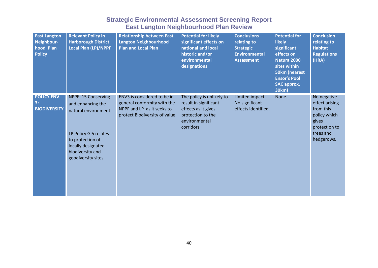| <b>East Langton</b><br>Neighbour-<br>hood Plan<br><b>Policy</b> | <b>Relevant Policy in</b><br><b>Harborough District</b><br><b>Local Plan (LP)/NPPF</b>                                                                                         | <b>Relationship between East</b><br><b>Langton Neighbourhood</b><br><b>Plan and Local Plan</b>                            | <b>Potential for likely</b><br>significant effects on<br>national and local<br>historic and/or<br>environmental<br>designations | <b>Conclusions</b><br>relating to<br><b>Strategic</b><br><b>Environmental</b><br><b>Assessment</b> | <b>Potential for</b><br><b>likely</b><br>significant<br>effects on<br>Natura 2000<br>sites within<br><b>50km (nearest</b><br><b>Ensor's Pool</b><br><b>SAC approx.</b><br>30km) | <b>Conclusion</b><br>relating to<br><b>Habitat</b><br><b>Regulations</b><br>(HRA)                               |
|-----------------------------------------------------------------|--------------------------------------------------------------------------------------------------------------------------------------------------------------------------------|---------------------------------------------------------------------------------------------------------------------------|---------------------------------------------------------------------------------------------------------------------------------|----------------------------------------------------------------------------------------------------|---------------------------------------------------------------------------------------------------------------------------------------------------------------------------------|-----------------------------------------------------------------------------------------------------------------|
| <b>POLICY ENV</b><br>3:<br><b>BIODIVERSITY</b>                  | NPPF: 15 Conserving<br>and enhancing the<br>natural environment.<br>LP Policy GI5 relates<br>to protection of<br>locally designated<br>biodiversity and<br>geodiversity sites. | ENV3 is considered to be in<br>general conformity with the<br>NPPF and LP as it seeks to<br>protect Biodiversity of value | The policy is unlikely to<br>result in significant<br>effects as it gives<br>protection to the<br>environmental<br>corridors.   | Limited impact.<br>No significant<br>effects identified.                                           | None.                                                                                                                                                                           | No negative<br>effect arising<br>from this<br>policy which<br>gives<br>protection to<br>trees and<br>hedgerows. |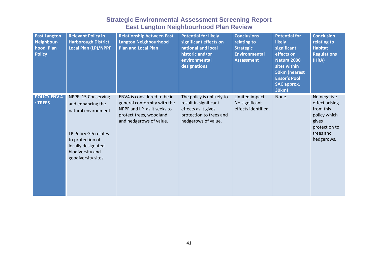| <b>East Langton</b><br>Neighbour-<br>hood Plan<br><b>Policy</b> | <b>Relevant Policy in</b><br><b>Harborough District</b><br><b>Local Plan (LP)/NPPF</b>                                                                                         | <b>Relationship between East</b><br><b>Langton Neighbourhood</b><br><b>Plan and Local Plan</b>                                                 | <b>Potential for likely</b><br>significant effects on<br>national and local<br>historic and/or<br>environmental<br>designations | <b>Conclusions</b><br>relating to<br><b>Strategic</b><br><b>Environmental</b><br><b>Assessment</b> | <b>Potential for</b><br><b>likely</b><br>significant<br>effects on<br>Natura 2000<br>sites within<br><b>50km (nearest</b><br><b>Ensor's Pool</b><br><b>SAC approx.</b><br>30km) | <b>Conclusion</b><br>relating to<br><b>Habitat</b><br><b>Regulations</b><br>(HRA)                               |
|-----------------------------------------------------------------|--------------------------------------------------------------------------------------------------------------------------------------------------------------------------------|------------------------------------------------------------------------------------------------------------------------------------------------|---------------------------------------------------------------------------------------------------------------------------------|----------------------------------------------------------------------------------------------------|---------------------------------------------------------------------------------------------------------------------------------------------------------------------------------|-----------------------------------------------------------------------------------------------------------------|
| <b>POLICY ENV 4</b><br>: TREES                                  | NPPF: 15 Conserving<br>and enhancing the<br>natural environment.<br>LP Policy GI5 relates<br>to protection of<br>locally designated<br>biodiversity and<br>geodiversity sites. | ENV4 is considered to be in<br>general conformity with the<br>NPPF and LP as it seeks to<br>protect trees, woodland<br>and hedgerows of value. | The policy is unlikely to<br>result in significant<br>effects as it gives<br>protection to trees and<br>hedgerows of value.     | Limited impact.<br>No significant<br>effects identified.                                           | None.                                                                                                                                                                           | No negative<br>effect arising<br>from this<br>policy which<br>gives<br>protection to<br>trees and<br>hedgerows. |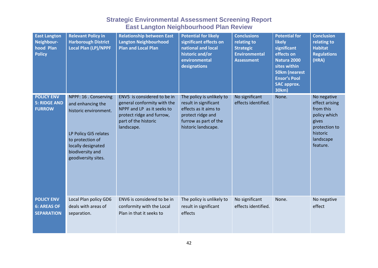| <b>East Langton</b><br>Neighbour-<br>hood Plan<br><b>Policy</b> | <b>Relevant Policy in</b><br><b>Harborough District</b><br><b>Local Plan (LP)/NPPF</b>                                                                                            | <b>Relationship between East</b><br><b>Langton Neighbourhood</b><br><b>Plan and Local Plan</b>                                                              | <b>Potential for likely</b><br>significant effects on<br>national and local<br>historic and/or<br>environmental<br>designations                  | <b>Conclusions</b><br>relating to<br><b>Strategic</b><br><b>Environmental</b><br><b>Assessment</b> | <b>Potential for</b><br><b>likely</b><br>significant<br>effects on<br><b>Natura 2000</b><br>sites within<br><b>50km (nearest</b><br><b>Ensor's Pool</b><br><b>SAC approx.</b><br>30km) | <b>Conclusion</b><br>relating to<br><b>Habitat</b><br><b>Regulations</b><br>(HRA)                                         |
|-----------------------------------------------------------------|-----------------------------------------------------------------------------------------------------------------------------------------------------------------------------------|-------------------------------------------------------------------------------------------------------------------------------------------------------------|--------------------------------------------------------------------------------------------------------------------------------------------------|----------------------------------------------------------------------------------------------------|----------------------------------------------------------------------------------------------------------------------------------------------------------------------------------------|---------------------------------------------------------------------------------------------------------------------------|
| <b>POLICY ENV</b><br><b>5: RIDGE AND</b><br><b>FURROW</b>       | NPPF: 16 . Conserving<br>and enhancing the<br>historic environment.<br>LP Policy GI5 relates<br>to protection of<br>locally designated<br>biodiversity and<br>geodiversity sites. | ENV5 is considered to be in<br>general conformity with the<br>NPPF and LP as it seeks to<br>protect ridge and furrow,<br>part of the historic<br>landscape. | The policy is unlikely to<br>result in significant<br>effects as it aims to<br>protect ridge and<br>furrow as part of the<br>historic landscape. | No significant<br>effects identified.                                                              | None.                                                                                                                                                                                  | No negative<br>effect arising<br>from this<br>policy which<br>gives<br>protection to<br>historic<br>landscape<br>feature. |
| <b>POLICY ENV</b><br><b>6: AREAS OF</b><br><b>SEPARATION</b>    | Local Plan policy GD6<br>deals with areas of<br>separation.                                                                                                                       | ENV6 is considered to be in<br>conformity with the Local<br>Plan in that it seeks to                                                                        | The policy is unlikely to<br>result in significant<br>effects                                                                                    | No significant<br>effects identified.                                                              | None.                                                                                                                                                                                  | No negative<br>effect                                                                                                     |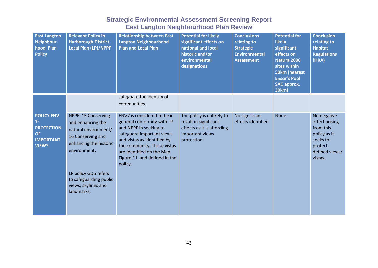| <b>East Langton</b><br>Neighbour-<br>hood Plan<br><b>Policy</b>                               | <b>Relevant Policy in</b><br><b>Harborough District</b><br>Local Plan (LP)/NPPF                                                                                                                                        | <b>Relationship between East</b><br><b>Langton Neighbourhood</b><br>Plan and Local Plan                                                                                                                                                                | <b>Potential for likely</b><br>significant effects on<br>national and local<br>historic and/or<br>environmental<br>designations | <b>Conclusions</b><br>relating to<br><b>Strategic</b><br><b>Environmental</b><br><b>Assessment</b> | <b>Potential for</b><br><b>likely</b><br>significant<br>effects on<br>Natura 2000<br>sites within<br><b>50km (nearest</b><br><b>Ensor's Pool</b><br><b>SAC approx.</b><br>30km) | <b>Conclusion</b><br>relating to<br><b>Habitat</b><br><b>Regulations</b><br>(HRA)                              |
|-----------------------------------------------------------------------------------------------|------------------------------------------------------------------------------------------------------------------------------------------------------------------------------------------------------------------------|--------------------------------------------------------------------------------------------------------------------------------------------------------------------------------------------------------------------------------------------------------|---------------------------------------------------------------------------------------------------------------------------------|----------------------------------------------------------------------------------------------------|---------------------------------------------------------------------------------------------------------------------------------------------------------------------------------|----------------------------------------------------------------------------------------------------------------|
|                                                                                               |                                                                                                                                                                                                                        | safeguard the identity of<br>communities.                                                                                                                                                                                                              |                                                                                                                                 |                                                                                                    |                                                                                                                                                                                 |                                                                                                                |
| <b>POLICY ENV</b><br>7:<br><b>PROTECTION</b><br><b>OF</b><br><b>IMPORTANT</b><br><b>VIEWS</b> | NPPF: 15 Conserving<br>and enhancing the<br>natural environment/<br>16 Conserving and<br>enhancing the historic<br>environment.<br>LP policy GD5 refers<br>to safeguarding public<br>views, skylines and<br>landmarks. | ENV7 is considered to be in<br>general conformity with LP<br>and NPPF in seeking to<br>safeguard important views<br>and vistas as identified by<br>the community. These vistas<br>are identified on the Map<br>Figure 11 and defined in the<br>policy. | The policy is unlikely to<br>result in significant<br>effects as it is affording<br>important views<br>protection.              | No significant<br>effects identified.                                                              | None.                                                                                                                                                                           | No negative<br>effect arising<br>from this<br>policy as it<br>seeks to<br>protect<br>defined views/<br>vistas. |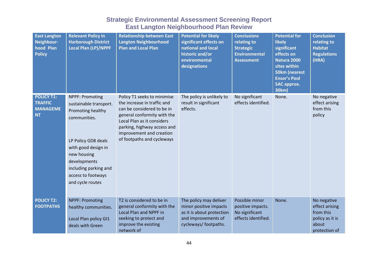| <b>East Langton</b><br>Neighbour-<br>hood Plan<br><b>Policy</b>     | <b>Relevant Policy in</b><br><b>Harborough District</b><br><b>Local Plan (LP)/NPPF</b>                                                                                                                                                | <b>Relationship between East</b><br><b>Langton Neighbourhood</b><br><b>Plan and Local Plan</b>                                                                                                                                                 | <b>Potential for likely</b><br>significant effects on<br>national and local<br>historic and/or<br>environmental<br>designations | <b>Conclusions</b><br>relating to<br><b>Strategic</b><br><b>Environmental</b><br><b>Assessment</b> | <b>Potential for</b><br><b>likely</b><br>significant<br>effects on<br>Natura 2000<br>sites within<br><b>50km (nearest</b><br><b>Ensor's Pool</b><br><b>SAC approx.</b><br>30km) | <b>Conclusion</b><br>relating to<br><b>Habitat</b><br><b>Regulations</b><br>(HRA)       |
|---------------------------------------------------------------------|---------------------------------------------------------------------------------------------------------------------------------------------------------------------------------------------------------------------------------------|------------------------------------------------------------------------------------------------------------------------------------------------------------------------------------------------------------------------------------------------|---------------------------------------------------------------------------------------------------------------------------------|----------------------------------------------------------------------------------------------------|---------------------------------------------------------------------------------------------------------------------------------------------------------------------------------|-----------------------------------------------------------------------------------------|
| <b>POLICY T1:</b><br><b>TRAFFIC</b><br><b>MANAGEME</b><br><b>NT</b> | <b>NPPF: Promoting</b><br>sustainable transport.<br>Promoting healthy<br>communities.<br>LP Policy GD8 deals<br>with good design in<br>new housing<br>developments<br>including parking and<br>access to footways<br>and cycle routes | Policy T1 seeks to minimise<br>the increase in traffic and<br>can be considered to be in<br>general conformity with the<br>Local Plan as it considers<br>parking, highway access and<br>improvement and creation<br>of footpaths and cycleways | The policy is unlikely to<br>result in significant<br>effects.                                                                  | No significant<br>effects identified.                                                              | None.                                                                                                                                                                           | No negative<br>effect arising<br>from this<br>policy                                    |
| <b>POLICY T2:</b><br><b>FOOTPATHS</b>                               | <b>NPPF: Promoting</b><br>healthy communities.<br>Local Plan policy GI1<br>deals with Green                                                                                                                                           | T2 is considered to be in<br>general conformity with the<br>Local Plan and NPPF in<br>seeking to protect and<br>improve the existing<br>network of                                                                                             | The policy may deliver<br>minor positive impacts<br>as it is about protection<br>and improvements of<br>cycleways/ footpaths.   | Possible minor<br>positive impacts.<br>No significant<br>effects identified.                       | None.                                                                                                                                                                           | No negative<br>effect arising<br>from this<br>policy as it is<br>about<br>protection of |